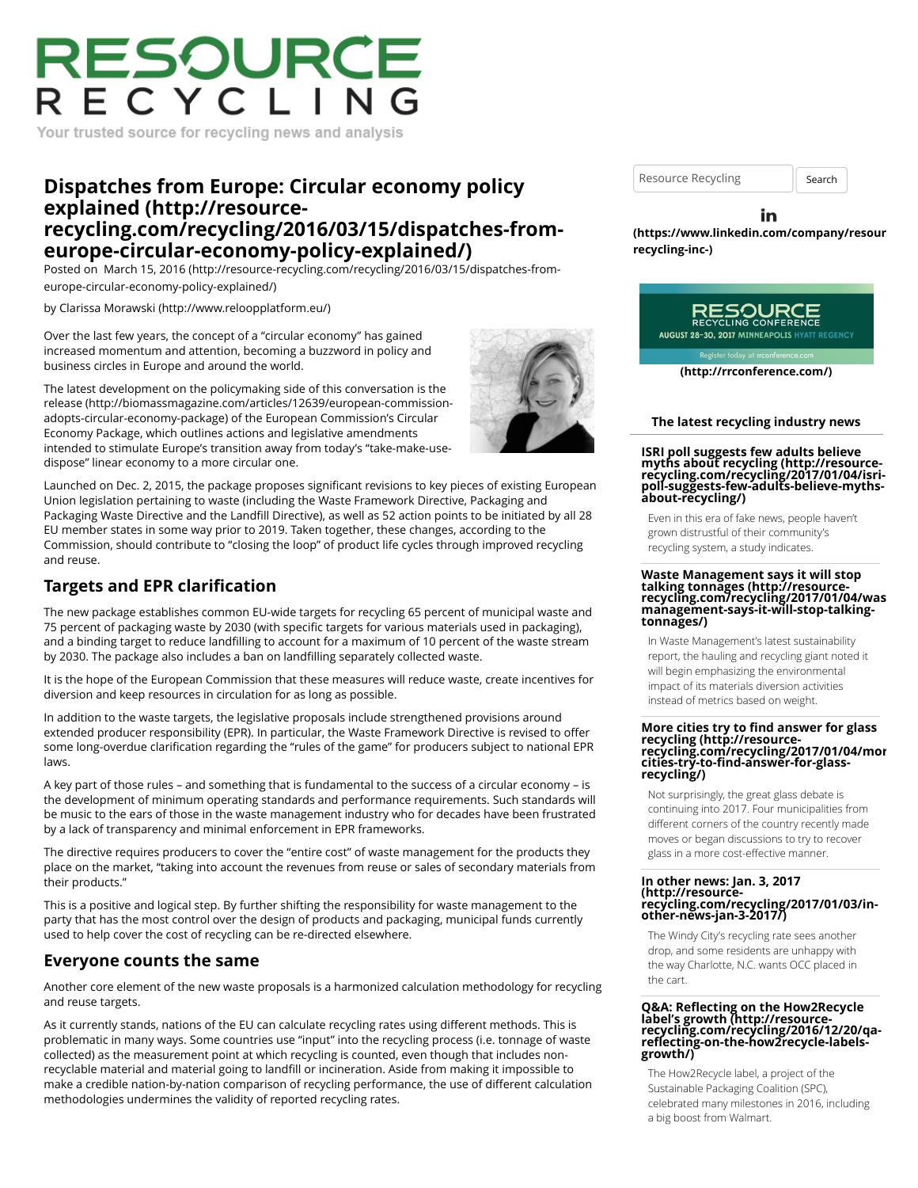# RESOURCE RECYCLING

Your trusted source for recycling news and analysis

# **Dispatches from Europe: Circular economy policy explained (http://resource[recycling.com/recycling/2016/03/15/dispatches-from](http://resource-recycling.com/recycling/2016/03/15/dispatches-from-europe-circular-economy-policy-explained/)europe-circular-economy-policy-explained/)**

Posted on [March 15, 2016 \(http://resource-recycling.com/recycling/2016/03/15/dispatches-from](http://resource-recycling.com/recycling/2016/03/15/dispatches-from-europe-circular-economy-policy-explained/)europe-circular-economy-policy-explained/)

by [Clarissa Morawski \(http://www.reloopplatform.eu/\)](http://www.reloopplatform.eu/)

Over the last few years, the concept of a "circular economy" has gained increased momentum and attention, becoming a buzzword in policy and business circles in Europe and around the world.

The latest development on the policymaking side of this conversation is the [release \(http://biomassmagazine.com/articles/12639/european-commission](http://biomassmagazine.com/articles/12639/european-commission-adopts-circular-economy-package)adopts-circular-economy-package) of the European Commission's Circular Economy Package, which outlines actions and legislative amendments intended to stimulate Europe's transition away from today's "take-make-usedispose" linear economy to a more circular one.

Launched on Dec. 2, 2015, the package proposes significant revisions to key pieces of existing European Union legislation pertaining to waste (including the Waste Framework Directive, Packaging and Packaging Waste Directive and the Landfill Directive), as well as 52 action points to be initiated by all 28 EU member states in some way prior to 2019. Taken together, these changes, according to the Commission, should contribute to "closing the loop" of product life cycles through improved recycling and reuse.

### **Targets and EPR clarification**

The new package establishes common EU-wide targets for recycling 65 percent of municipal waste and 75 percent of packaging waste by 2030 (with specific targets for various materials used in packaging), and a binding target to reduce landfilling to account for a maximum of 10 percent of the waste stream by 2030. The package also includes a ban on landfilling separately collected waste.

It is the hope of the European Commission that these measures will reduce waste, create incentives for diversion and keep resources in circulation for as long as possible.

In addition to the waste targets, the legislative proposals include strengthened provisions around extended producer responsibility (EPR). In particular, the Waste Framework Directive is revised to offer some long-overdue clarification regarding the "rules of the game" for producers subject to national EPR laws.

A key part of those rules – and something that is fundamental to the success of a circular economy – is the development of minimum operating standards and performance requirements. Such standards will be music to the ears of those in the waste management industry who for decades have been frustrated by a lack of transparency and minimal enforcement in EPR frameworks.

The directive requires producers to cover the "entire cost" of waste management for the products they place on the market, "taking into account the revenues from reuse or sales of secondary materials from their products."

This is a positive and logical step. By further shifting the responsibility for waste management to the party that has the most control over the design of products and packaging, municipal funds currently used to help cover the cost of recycling can be re-directed elsewhere.

### **Everyone counts the same**

Another core element of the new waste proposals is a harmonized calculation methodology for recycling and reuse targets.

As it currently stands, nations of the EU can calculate recycling rates using different methods. This is problematic in many ways. Some countries use "input" into the recycling process (i.e. tonnage of waste collected) as the measurement point at which recycling is counted, even though that includes nonrecyclable material and material going to landfill or incineration. Aside from making it impossible to make a credible nation-by-nation comparison of recycling performance, the use of different calculation methodologies undermines the validity of reported recycling rates.

Resource Recycling **Search** 

#### in

**[\(https://www.linkedin.com/company/resour](https://www.linkedin.com/company/resource-recycling-inc-)cerecycling-inc-)**



**[\(http://rrconference.com/\)](http://rrconference.com/)**

#### **The latest recycling industry news**

# **ISRI poll suggests few adults believe myths about recycling (http://resource- [recycling.com/recycling/2017/01/04/isri-](http://resource-recycling.com/recycling/2017/01/04/isri-poll-suggests-few-adults-believe-myths-about-recycling/)poll-suggests-few-adults-believe-mythsabout-recycling/)**

Even in this era of fake news, people haven't grown distrustful of their community's recycling system, a study indicates.

## **Waste Management says it will stop talking tonnages (http://resource- [recycling.com/recycling/2017/01/04/was](http://resource-recycling.com/recycling/2017/01/04/waste-management-says-it-will-stop-talking-tonnages/)te-management-says-it-will-stop-talkingtonnages/)**

In Waste Management's latest sustainability report, the hauling and recycling giant noted it will begin emphasizing the environmental impact of its materials diversion activities instead of metrics based on weight.

# **More cities try to find answer for glass recycling (http://resource- [recycling.com/recycling/2017/01/04/mor](http://resource-recycling.com/recycling/2017/01/04/more-cities-try-to-find-answer-for-glass-recycling/)ecities-try-to-find-answer-for-glass- recycling/)**

Not surprisingly, the great glass debate is continuing into 2017. Four municipalities from different corners of the country recently made moves or began discussions to try to recover glass in a more cost-effective manner.

### **In other news: Jan. 3, 2017 (http://resource[recycling.com/recycling/2017/01/03/in-](http://resource-recycling.com/recycling/2017/01/03/in-other-news-jan-3-2017/)other-news-jan-3-2017/)**

The Windy City's recycling rate sees another drop, and some residents are unhappy with the way Charlotte, N.C. wants OCC placed in the cart.

# **Q&A: Reflecting on the How2Recycle label's growth (http://resource- [recycling.com/recycling/2016/12/20/qa](http://resource-recycling.com/recycling/2016/12/20/qa-reflecting-on-the-how2recycle-labels-growth/)reflecting-on-the-how2recycle-labels- growth/)**

The How2Recycle label, a project of the Sustainable Packaging Coalition (SPC), celebrated many milestones in 2016, including a big boost from Walmart.